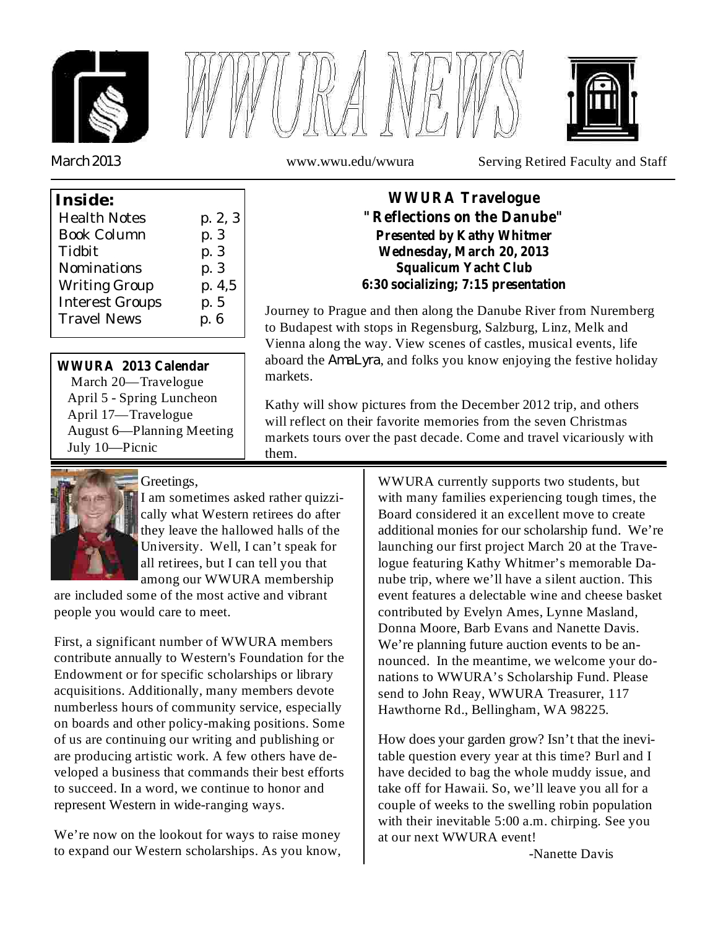





*March 2013*

www.wwu.edu/wwura Serving Retired Faculty and Staff

| Inside:                |         |
|------------------------|---------|
| <b>Health Notes</b>    | p. 2, 3 |
| <b>Book Column</b>     | p. 3    |
| Tidbit                 | p. 3    |
| Nominations            | p. 3    |
| <b>Writing Group</b>   | p. 4,5  |
| <b>Interest Groups</b> | p. 5    |
| <b>Travel News</b>     | p. 6    |
|                        |         |

# **WWURA 2013 Calendar**

March 20—Travelogue April 5 - Spring Luncheon April 17—Travelogue August 6—Planning Meeting July 10—Picnic

## **WWURA Travelogue "Reflections on the Danube" Presented by Kathy Whitmer Wednesday, March 20, 2013 Squalicum Yacht Club 6:30 socializing; 7:15 presentation**

aboard the *AmaLyra*, and folks you know enjoying the festive holiday Journey to Prague and then along the Danube River from Nuremberg to Budapest with stops in Regensburg, Salzburg, Linz, Melk and Vienna along the way. View scenes of castles, musical events, life markets.

Kathy will show pictures from the December 2012 trip, and others will reflect on their favorite memories from the seven Christmas markets tours over the past decade. Come and travel vicariously with them.



# Greetings,

I am sometimes asked rather quizzically what Western retirees do after they leave the hallowed halls of the University. Well, I can't speak for all retirees, but I can tell you that among our WWURA membership

are included some of the most active and vibrant people you would care to meet.

First, a significant number of WWURA members contribute annually to Western's Foundation for the Endowment or for specific scholarships or library acquisitions. Additionally, many members devote numberless hours of community service, especially on boards and other policy-making positions. Some of us are continuing our writing and publishing or are producing artistic work. A few others have developed a business that commands their best efforts to succeed. In a word, we continue to honor and represent Western in wide-ranging ways.

We're now on the lookout for ways to raise money to expand our Western scholarships. As you know, WWURA currently supports two students, but with many families experiencing tough times, the Board considered it an excellent move to create additional monies for our scholarship fund. We're launching our first project March 20 at the Travelogue featuring Kathy Whitmer's memorable Danube trip, where we'll have a silent auction. This event features a delectable wine and cheese basket contributed by Evelyn Ames, Lynne Masland, Donna Moore, Barb Evans and Nanette Davis. We're planning future auction events to be announced. In the meantime, we welcome your donations to WWURA's Scholarship Fund. Please send to John Reay, WWURA Treasurer, 117 Hawthorne Rd., Bellingham, WA 98225.

How does your garden grow? Isn't that the inevitable question every year at this time? Burl and I have decided to bag the whole muddy issue, and take off for Hawaii. So, we'll leave you all for a couple of weeks to the swelling robin population with their inevitable 5:00 a.m. chirping. See you at our next WWURA event!

-Nanette Davis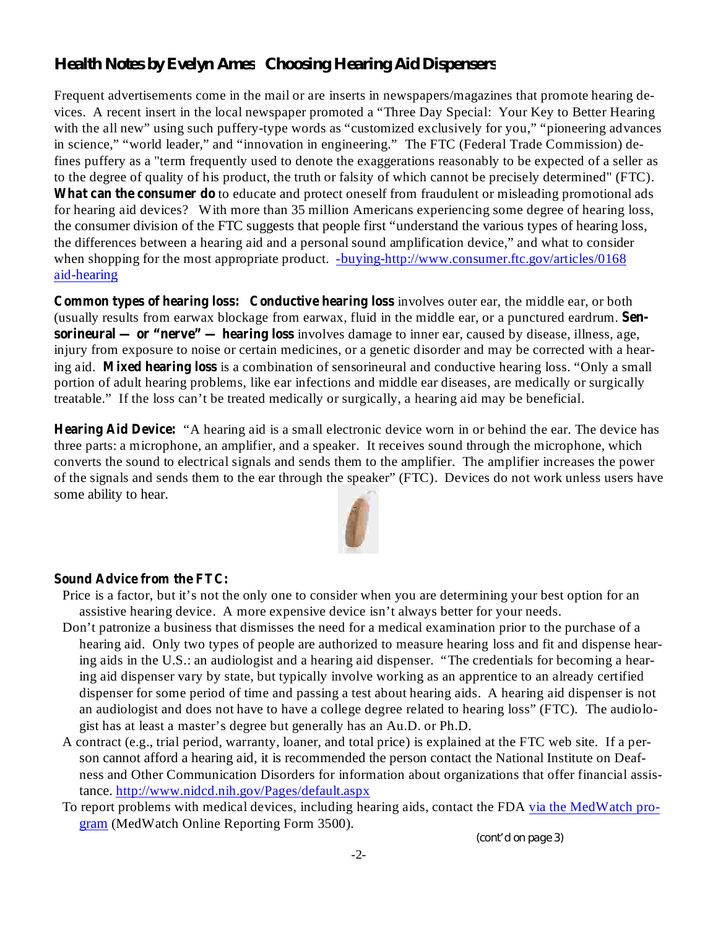# *Health Notes by Evelyn Ames Choosing Hearing Aid Dispensers*

Frequent advertisements come in the mail or are inserts in newspapers/magazines that promote hearing devices. A recent insert in the local newspaper promoted a "Three Day Special: Your Key to Better Hearing with the all new" using such puffery-type words as "customized exclusively for you," "pioneering advances in science," "world leader," and "innovation in engineering." The FTC (Federal Trade Commission) defines puffery as a "term frequently used to denote the exaggerations reasonably to be expected of a seller as to the degree of quality of his product, the truth or falsity of which cannot be precisely determined" (FTC). What can the consumer do to educate and protect oneself from fraudulent or misleading promotional ads for hearing aid devices? With more than 35 million Americans experiencing some degree of hearing loss, the consumer division of the FTC suggests that people first "understand the various types of hearing loss, the differences between a hearing aid and a personal sound amplification device," and what to consider when shopping for the most appropriate product. -buying-http://www.consumer.ftc.gov/articles/0168 aid-hearing

**Common types of hearing loss:** Conductive hearing loss involves outer ear, the middle ear, or both (usually results from earwax blockage from earwax, fluid in the middle ear, or a punctured eardrum. **Sensorineural — or "nerve" — hearing loss** involves damage to inner ear, caused by disease, illness, age, injury from exposure to noise or certain medicines, or a genetic disorder and may be corrected with a hearing aid. Mixed hearing loss is a combination of sensorineural and conductive hearing loss. "Only a small portion of adult hearing problems, like ear infections and middle ear diseases, are medically or surgically treatable." If the loss can't be treated medically or surgically, a hearing aid may be beneficial.

Hearing Aid Device: "A hearing aid is a small electronic device worn in or behind the ear. The device has three parts: a microphone, an amplifier, and a speaker. It receives sound through the microphone, which converts the sound to electrical signals and sends them to the amplifier. The amplifier increases the power of the signals and sends them to the ear through the speaker" (FTC). Devices do not work unless users have some ability to hear.



#### **Sound Advice from the FTC:**

- Price is a factor, but it's not the only one to consider when you are determining your best option for an assistive hearing device. A more expensive device isn't always better for your needs.
- Don't patronize a business that dismisses the need for a medical examination prior to the purchase of a hearing aid. Only two types of people are authorized to measure hearing loss and fit and dispense hearing aids in the U.S.: an audiologist and a hearing aid dispenser. "The credentials for becoming a hearing aid dispenser vary by state, but typically involve working as an apprentice to an already certified dispenser for some period of time and passing a test about hearing aids. A hearing aid dispenser is not an audiologist and does not have to have a college degree related to hearing loss" (FTC). The audiologist has at least a master's degree but generally has an Au.D. or Ph.D.
- A contract (e.g., trial period, warranty, loaner, and total price) is explained at the FTC web site. If a person cannot afford a hearing aid, it is recommended the person contact the National Institute on Deafness and Other Communication Disorders for information about organizations that offer financial assistance. http://www.nidcd.nih.gov/Pages/default.aspx
- To report problems with medical devices, including hearing aids, contact the FDA via the MedWatch program (MedWatch Online Reporting Form 3500).

*(cont'd on page 3)*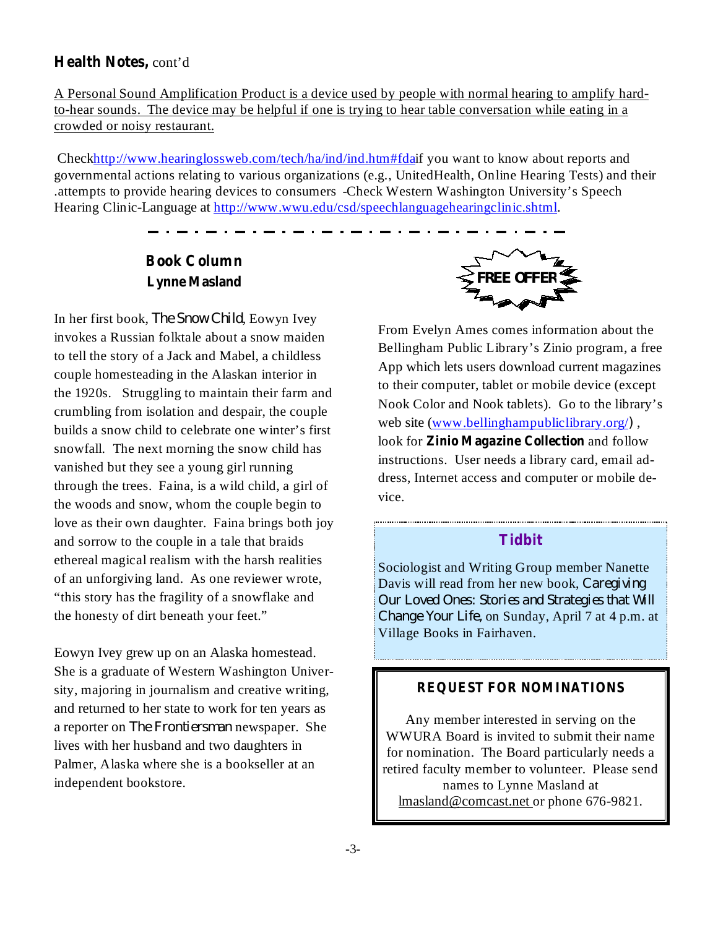## **Health Notes,** cont'd

A Personal Sound Amplification Product is a device used by people with normal hearing to amplify hardto-hear sounds. The device may be helpful if one is trying to hear table conversation while eating in a crowded or noisy restaurant.

Checkhttp://www.hearinglossweb.com/tech/ha/ind/ind.htm#fdaif you want to know about reports and governmental actions relating to various organizations (e.g., UnitedHealth, Online Hearing Tests) and their .attempts to provide hearing devices to consumers -Check Western Washington University's Speech Hearing Clinic-Language at http://www.wwu.edu/csd/speechlanguagehearingclinic.shtml.

# **Book Column Lynne Masland**

In her first book, *The Snow Child*, Eowyn Ivey invokes a Russian folktale about a snow maiden to tell the story of a Jack and Mabel, a childless couple homesteading in the Alaskan interior in the 1920s. Struggling to maintain their farm and crumbling from isolation and despair, the couple builds a snow child to celebrate one winter's first snowfall. The next morning the snow child has vanished but they see a young girl running through the trees. Faina, is a wild child, a girl of the woods and snow, whom the couple begin to love as their own daughter. Faina brings both joy and sorrow to the couple in a tale that braids ethereal magical realism with the harsh realities of an unforgiving land. As one reviewer wrote, "this story has the fragility of a snowflake and the honesty of dirt beneath your feet."

Eowyn Ivey grew up on an Alaska homestead. She is a graduate of Western Washington University, majoring in journalism and creative writing, and returned to her state to work for ten years as a reporter on *The Frontiersman* newspaper. She lives with her husband and two daughters in Palmer, Alaska where she is a bookseller at an independent bookstore.



look for **Zinio Magazine Collection** and follow From Evelyn Ames comes information about the Bellingham Public Library's Zinio program, a free App which lets users download current magazines to their computer, tablet or mobile device (except Nook Color and Nook tablets). Go to the library's web site (www.bellinghampubliclibrary.org/), instructions. User needs a library card, email address, Internet access and computer or mobile device.

### **Tidbit**

Sociologist and Writing Group member Nanette Davis will read from her new book, *Caregiving Change Your Life, on Sunday, April 7 at 4 p.m. at* Village Books in Fairhaven. *Our Loved Ones: Stories and Strategies that Will*

#### **REQUEST FOR NOMINATIONS**

Any member interested in serving on the WWURA Board is invited to submit their name for nomination. The Board particularly needs a retired faculty member to volunteer. Please send names to Lynne Masland at lmasland@comcast.net or phone 676-9821.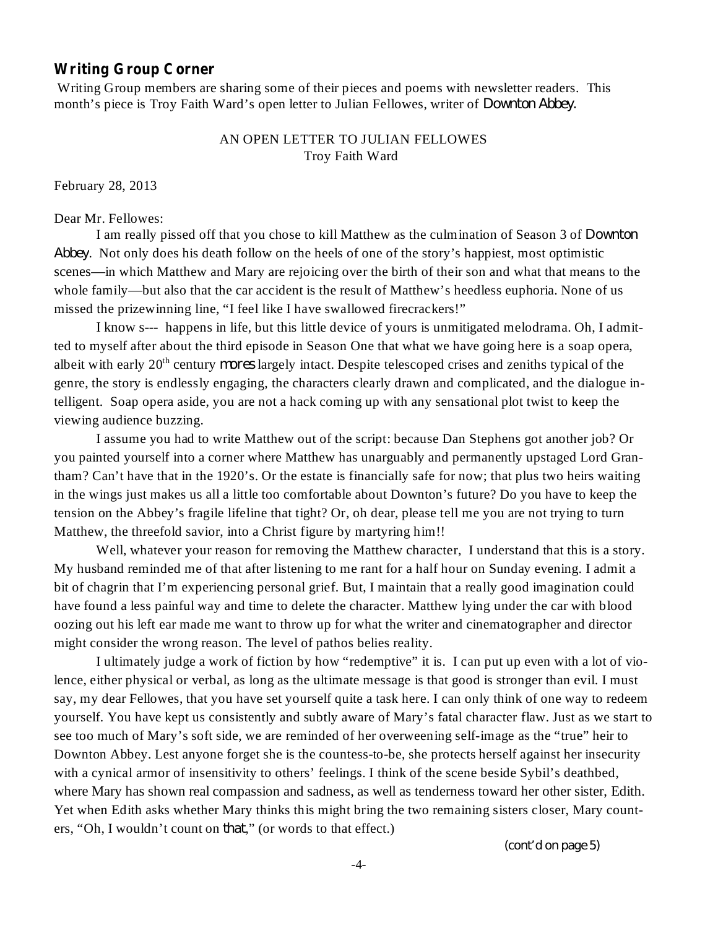### **Writing Group Corner**

Writing Group members are sharing some of their pieces and poems with newsletter readers. This month's piece is Troy Faith Ward's open letter to Julian Fellowes, writer of *Downton Abbey.*

#### AN OPEN LETTER TO JULIAN FELLOWES Troy Faith Ward

February 28, 2013

Dear Mr. Fellowes:

I am really pissed off that you chose to kill Matthew as the culmination of Season 3 of *Downton* . Not only does his death follow on the heels of one of the story's happiest, most optimistic *Abbey* scenes—in which Matthew and Mary are rejoicing over the birth of their son and what that means to the whole family—but also that the car accident is the result of Matthew's heedless euphoria. None of us missed the prizewinning line, "I feel like I have swallowed firecrackers!"

I know s--- happens in life, but this little device of yours is unmitigated melodrama. Oh, I admitted to myself after about the third episode in Season One that what we have going here is a soap opera, albeit with early 20<sup>th</sup> century *mores* largely intact. Despite telescoped crises and zeniths typical of the genre, the story is endlessly engaging, the characters clearly drawn and complicated, and the dialogue intelligent. Soap opera aside, you are not a hack coming up with any sensational plot twist to keep the viewing audience buzzing.

I assume you had to write Matthew out of the script: because Dan Stephens got another job? Or you painted yourself into a corner where Matthew has unarguably and permanently upstaged Lord Grantham? Can't have that in the 1920's. Or the estate is financially safe for now; that plus two heirs waiting in the wings just makes us all a little too comfortable about Downton's future? Do you have to keep the tension on the Abbey's fragile lifeline that tight? Or, oh dear, please tell me you are not trying to turn Matthew, the threefold savior, into a Christ figure by martyring him!!

Well, whatever your reason for removing the Matthew character, I understand that this is a story. My husband reminded me of that after listening to me rant for a half hour on Sunday evening. I admit a bit of chagrin that I'm experiencing personal grief. But, I maintain that a really good imagination could have found a less painful way and time to delete the character. Matthew lying under the car with blood oozing out his left ear made me want to throw up for what the writer and cinematographer and director might consider the wrong reason. The level of pathos belies reality.

I ultimately judge a work of fiction by how "redemptive" it is. I can put up even with a lot of violence, either physical or verbal, as long as the ultimate message is that good is stronger than evil. I must say, my dear Fellowes, that you have set yourself quite a task here. I can only think of one way to redeem yourself. You have kept us consistently and subtly aware of Mary's fatal character flaw. Just as we start to see too much of Mary's soft side, we are reminded of her overweening self-image as the "true" heir to Downton Abbey. Lest anyone forget she is the countess-to-be, she protects herself against her insecurity with a cynical armor of insensitivity to others' feelings. I think of the scene beside Sybil's deathbed, where Mary has shown real compassion and sadness, as well as tenderness toward her other sister, Edith. Yet when Edith asks whether Mary thinks this might bring the two remaining sisters closer, Mary counters, "Oh, I wouldn't count on *that*," (or words to that effect.)

*(cont'd on page 5)*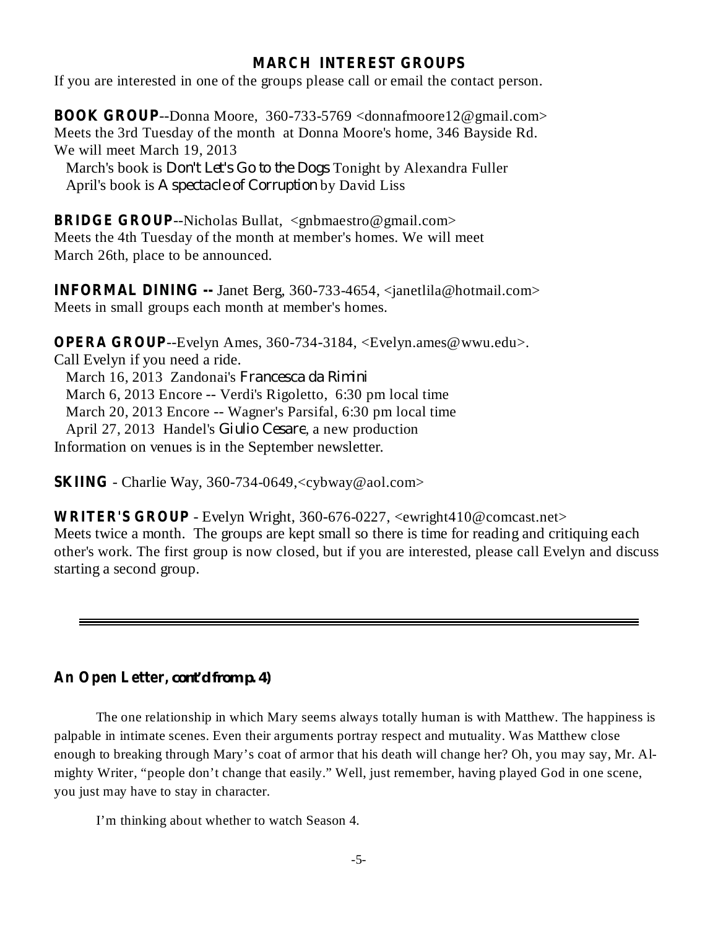## **MARCH INTEREST GROUPS**

If you are interested in one of the groups please call or email the contact person.

**BOOK GROUP** --Donna Moore, 360-733-5769 <donnafmoore12@gmail.com> Meets the 3rd Tuesday of the month at Donna Moore's home, 346 Bayside Rd. We will meet March 19, 2013 March's book is *Don't Let's Go to the Dogs* Tonight by Alexandra Fuller

April's book is A *spectacle of Corruption* by David Liss

**BRIDGE GROUP** --Nicholas Bullat, <gnbmaestro@gmail.com> Meets the 4th Tuesday of the month at member's homes. We will meet March 26th, place to be announced.

**INFORMAL DINING --** Janet Berg, 360-733-4654, <janetlila@hotmail.com> Meets in small groups each month at member's homes.

**OPERA GROUP**--Evelyn Ames, 360-734-3184, <Evelyn.ames@wwu.edu>. Call Evelyn if you need a ride. March 16, 2013 Zandonai's *Francesca da Rimini* March 6, 2013 Encore -- Verdi's Rigoletto, 6:30 pm local time March 20, 2013 Encore -- Wagner's Parsifal, 6:30 pm local time April 27, 2013 Handel's Giulio Cesare, a new production Information on venues is in the September newsletter.

**SKIING** - Charlie Way, 360-734-0649,<cybway@aol.com>

**WRITER'S GROUP** - Evelyn Wright, 360-676-0227, <ewright410@comcast.net> Meets twice a month. The groups are kept small so there is time for reading and critiquing each other's work. The first group is now closed, but if you are interested, please call Evelyn and discuss starting a second group.

# **An Open Letter,** *cont'd from p. 4)*

The one relationship in which Mary seems always totally human is with Matthew. The happiness is palpable in intimate scenes. Even their arguments portray respect and mutuality. Was Matthew close enough to breaking through Mary's coat of armor that his death will change her? Oh, you may say, Mr. Almighty Writer, "people don't change that easily." Well, just remember, having played God in one scene, you just may have to stay in character.

I'm thinking about whether to watch Season 4.